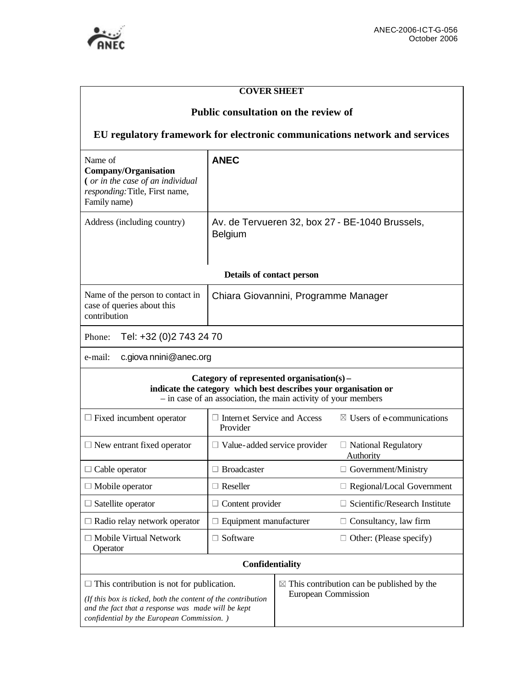

# **COVER SHEET**

## **Public consultation on the review of**

# **EU regulatory framework for electronic communications network and services**

| Name of<br>Company/Organisation<br>(or in the case of an individual<br>responding: Title, First name,<br>Family name)                                                                                               | <b>ANEC</b>                                                       |                                                                                     |                                         |
|---------------------------------------------------------------------------------------------------------------------------------------------------------------------------------------------------------------------|-------------------------------------------------------------------|-------------------------------------------------------------------------------------|-----------------------------------------|
| Address (including country)                                                                                                                                                                                         | Av. de Tervueren 32, box 27 - BE-1040 Brussels,<br><b>Belgium</b> |                                                                                     |                                         |
| Details of contact person                                                                                                                                                                                           |                                                                   |                                                                                     |                                         |
| Name of the person to contact in<br>case of queries about this<br>contribution                                                                                                                                      | Chiara Giovannini, Programme Manager                              |                                                                                     |                                         |
| Tel: +32 (0)2 743 24 70<br>Phone:                                                                                                                                                                                   |                                                                   |                                                                                     |                                         |
| c.giova nnini@anec.org<br>e-mail:                                                                                                                                                                                   |                                                                   |                                                                                     |                                         |
| Category of represented organisation(s) –<br>indicate the category which best describes your organisation or<br>- in case of an association, the main activity of your members                                      |                                                                   |                                                                                     |                                         |
| $\Box$ Fixed incumbent operator                                                                                                                                                                                     | $\Box$ Internet Service and Access<br>Provider                    |                                                                                     | $\boxtimes$ Users of e-communications   |
| $\Box$ New entrant fixed operator                                                                                                                                                                                   | $\Box$ Value-added service provider                               |                                                                                     | $\Box$ National Regulatory<br>Authority |
| $\Box$ Cable operator                                                                                                                                                                                               | $\Box$ Broadcaster                                                |                                                                                     | $\Box$ Government/Ministry              |
| $\Box$ Mobile operator                                                                                                                                                                                              | $\Box$ Reseller                                                   |                                                                                     | $\Box$ Regional/Local Government        |
| $\Box$ Satellite operator                                                                                                                                                                                           | $\Box$ Content provider                                           |                                                                                     | $\Box$ Scientific/Research Institute    |
| $\Box$ Radio relay network operator                                                                                                                                                                                 | $\Box$ Equipment manufacturer                                     |                                                                                     | $\Box$ Consultancy, law firm            |
| $\Box$ Mobile Virtual Network<br>Operator                                                                                                                                                                           | $\Box$ Software                                                   |                                                                                     | $\Box$ Other: (Please specify)          |
| Confidentiality                                                                                                                                                                                                     |                                                                   |                                                                                     |                                         |
| $\Box$ This contribution is not for publication.<br>(If this box is ticked, both the content of the contribution<br>and the fact that a response was made will be kept<br>confidential by the European Commission.) |                                                                   | $\boxtimes$ This contribution can be published by the<br><b>European Commission</b> |                                         |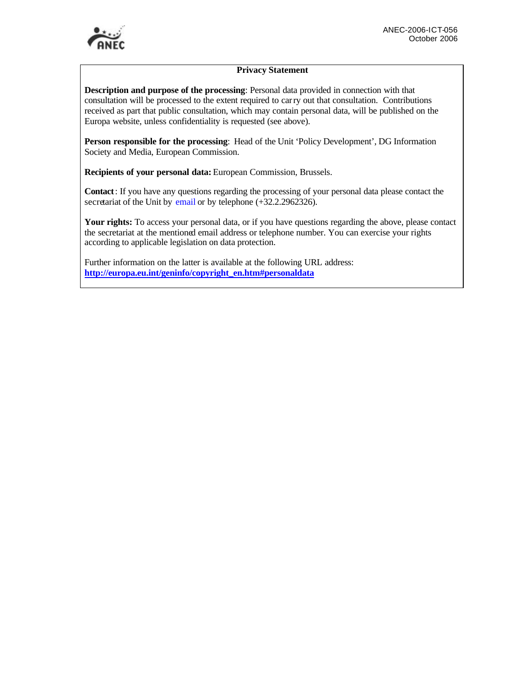

#### **Privacy Statement**

**Description and purpose of the processing**: Personal data provided in connection with that consultation will be processed to the extent required to carry out that consultation. Contributions received as part that public consultation, which may contain personal data, will be published on the Europa website, unless confidentiality is requested (see above).

**Person responsible for the processing**: Head of the Unit 'Policy Development', DG Information Society and Media, European Commission.

**Recipients of your personal data:** European Commission, Brussels.

**Contact**: If you have any questions regarding the processing of your personal data please contact the secretariat of the Unit by email or by telephone  $(+32.2.2962326)$ .

**Your rights:** To access your personal data, or if you have questions regarding the above, please contact the secretariat at the mentioned email address or telephone number. You can exercise your rights according to applicable legislation on data protection.

Further information on the latter is available at the following URL address: **http://europa.eu.int/geninfo/copyright\_en.htm#personaldata**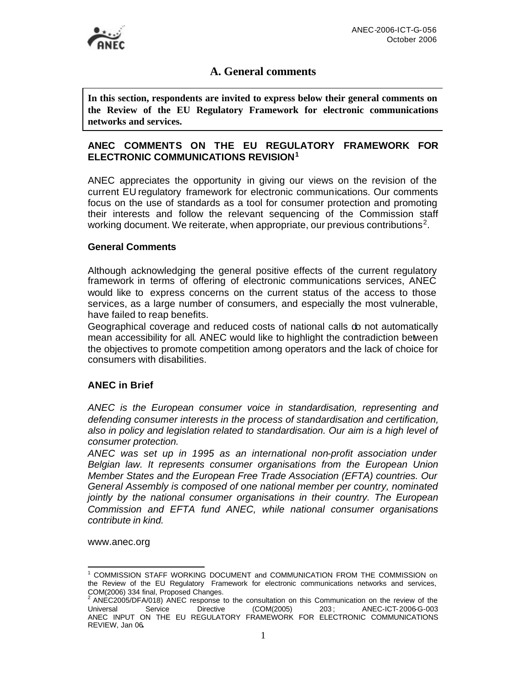# **A. General comments**

**In this section, respondents are invited to express below their general comments on the Review of the EU Regulatory Framework for electronic communications networks and services.** 

## **ANEC COMMENTS ON THE EU REGULATORY FRAMEWORK FOR ELECTRONIC COMMUNICATIONS REVISION<sup>1</sup>**

ANEC appreciates the opportunity in giving our views on the revision of the current EU regulatory framework for electronic communications. Our comments focus on the use of standards as a tool for consumer protection and promoting their interests and follow the relevant sequencing of the Commission staff working document. We reiterate, when appropriate, our previous contributions<sup>2</sup>.

#### **General Comments**

Although acknowledging the general positive effects of the current regulatory framework in terms of offering of electronic communications services, ANEC would like to express concerns on the current status of the access to those services, as a large number of consumers, and especially the most vulnerable, have failed to reap benefits.

Geographical coverage and reduced costs of national calls do not automatically mean accessibility for all. ANEC would like to highlight the contradiction between the objectives to promote competition among operators and the lack of choice for consumers with disabilities.

### **ANEC in Brief**

*ANEC is the European consumer voice in standardisation, representing and defending consumer interests in the process of standardisation and certification, also in policy and legislation related to standardisation. Our aim is a high level of consumer protection.* 

*ANEC was set up in 1995 as an international non-profit association under Belgian law. It represents consumer organisations from the European Union Member States and the European Free Trade Association (EFTA) countries. Our General Assembly is composed of one national member per country, nominated jointly by the national consumer organisations in their country. The European Commission and EFTA fund ANEC, while national consumer organisations contribute in kind.*

www.anec.org

 $\overline{a}$ 1 COMMISSION STAFF WORKING DOCUMENT and COMMUNICATION FROM THE COMMISSION on the Review of the EU Regulatory Framework for electronic communications networks and services, COM(2006) 334 final, Proposed Changes. 2

ANEC2005/DFA/018) ANEC response to the consultation on this Communication on the review of the<br>
Jniversal Service Directive (COM(2005) 203; ANEC-ICT-2006-G-003 Universal Service Directive (COM(2005) 203 ; ANEC-ICT-2006-G-003 ANEC INPUT ON THE EU REGULATORY FRAMEWORK FOR ELECTRONIC COMMUNICATIONS REVIEW, Jan 06**.**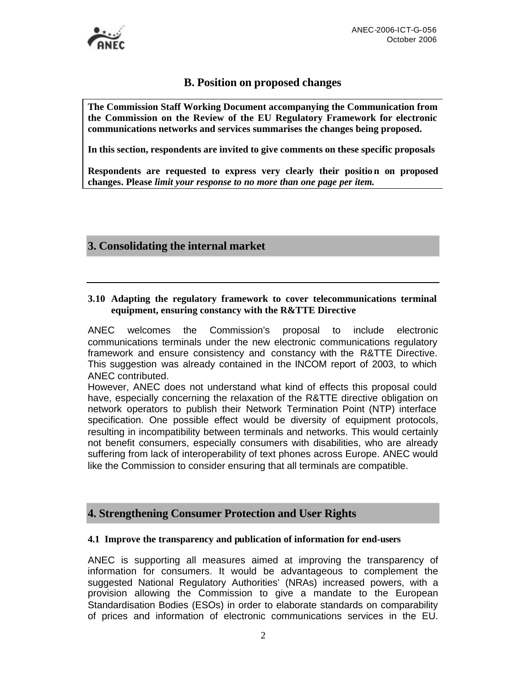

## **B. Position on proposed changes**

**The Commission Staff Working Document accompanying the Communication from the Commission on the Review of the EU Regulatory Framework for electronic communications networks and services summarises the changes being proposed.**

**In this section, respondents are invited to give comments on these specific proposals**

**Respondents are requested to express very clearly their position on proposed changes. Please** *limit your response to no more than one page per item.*

## **3. Consolidating the internal market**

#### **3.10 Adapting the regulatory framework to cover telecommunications terminal equipment, ensuring constancy with the R&TTE Directive**

ANEC welcomes the Commission's proposal to include electronic communications terminals under the new electronic communications regulatory framework and ensure consistency and constancy with the R&TTE Directive. This suggestion was already contained in the INCOM report of 2003, to which ANEC contributed.

However, ANEC does not understand what kind of effects this proposal could have, especially concerning the relaxation of the R&TTE directive obligation on network operators to publish their Network Termination Point (NTP) interface specification. One possible effect would be diversity of equipment protocols, resulting in incompatibility between terminals and networks. This would certainly not benefit consumers, especially consumers with disabilities, who are already suffering from lack of interoperability of text phones across Europe. ANEC would like the Commission to consider ensuring that all terminals are compatible.

### **4. Strengthening Consumer Protection and User Rights**

#### **4.1 Improve the transparency and publication of information for end-users**

ANEC is supporting all measures aimed at improving the transparency of information for consumers. It would be advantageous to complement the suggested National Regulatory Authorities' (NRAs) increased powers, with a provision allowing the Commission to give a mandate to the European Standardisation Bodies (ESOs) in order to elaborate standards on comparability of prices and information of electronic communications services in the EU.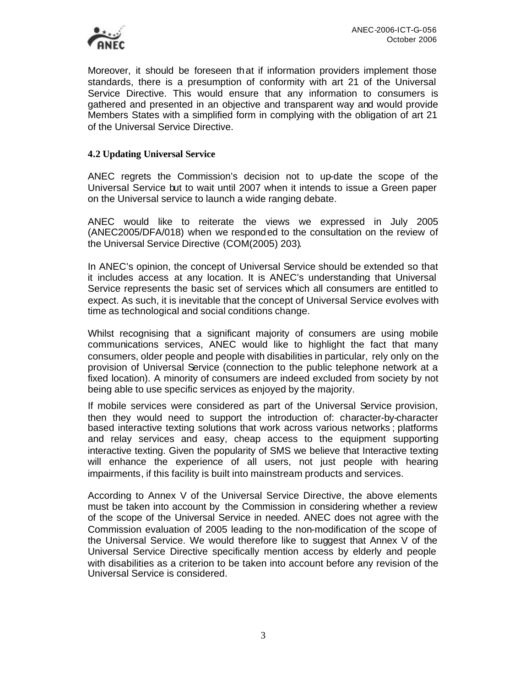

Moreover, it should be foreseen that if information providers implement those standards, there is a presumption of conformity with art 21 of the Universal Service Directive. This would ensure that any information to consumers is gathered and presented in an objective and transparent way and would provide Members States with a simplified form in complying with the obligation of art 21 of the Universal Service Directive.

#### **4.2 Updating Universal Service**

ANEC regrets the Commission's decision not to up-date the scope of the Universal Service but to wait until 2007 when it intends to issue a Green paper on the Universal service to launch a wide ranging debate.

ANEC would like to reiterate the views we expressed in July 2005 (ANEC2005/DFA/018) when we responded to the consultation on the review of the Universal Service Directive (COM(2005) 203).

In ANEC's opinion, the concept of Universal Service should be extended so that it includes access at any location. It is ANEC's understanding that Universal Service represents the basic set of services which all consumers are entitled to expect. As such, it is inevitable that the concept of Universal Service evolves with time as technological and social conditions change.

Whilst recognising that a significant majority of consumers are using mobile communications services, ANEC would like to highlight the fact that many consumers, older people and people with disabilities in particular, rely only on the provision of Universal Service (connection to the public telephone network at a fixed location). A minority of consumers are indeed excluded from society by not being able to use specific services as enjoyed by the majority.

If mobile services were considered as part of the Universal Service provision, then they would need to support the introduction of: character-by-character based interactive texting solutions that work across various networks ; platforms and relay services and easy, cheap access to the equipment supporting interactive texting. Given the popularity of SMS we believe that Interactive texting will enhance the experience of all users, not just people with hearing impairments, if this facility is built into mainstream products and services.

According to Annex V of the Universal Service Directive, the above elements must be taken into account by the Commission in considering whether a review of the scope of the Universal Service in needed. ANEC does not agree with the Commission evaluation of 2005 leading to the non-modification of the scope of the Universal Service. We would therefore like to suggest that Annex V of the Universal Service Directive specifically mention access by elderly and people with disabilities as a criterion to be taken into account before any revision of the Universal Service is considered.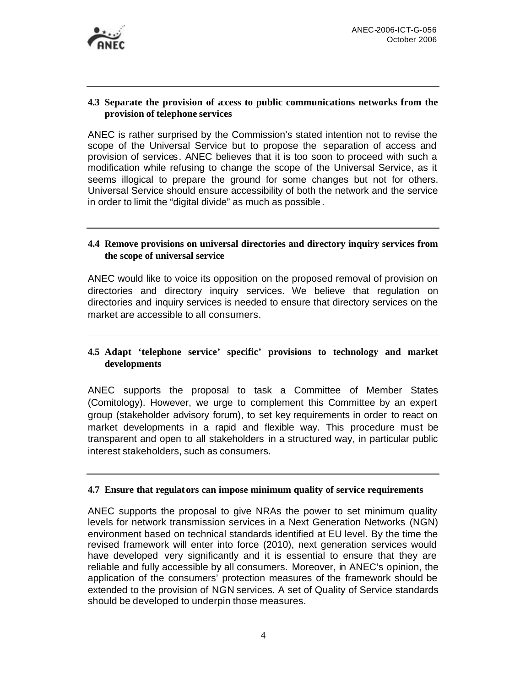

#### **4.3 Separate the provision of access to public communications networks from the provision of telephone services**

ANEC is rather surprised by the Commission's stated intention not to revise the scope of the Universal Service but to propose the separation of access and provision of services. ANEC believes that it is too soon to proceed with such a modification while refusing to change the scope of the Universal Service, as it seems illogical to prepare the ground for some changes but not for others. Universal Service should ensure accessibility of both the network and the service in order to limit the "digital divide" as much as possible.

### **4.4 Remove provisions on universal directories and directory inquiry services from the scope of universal service**

ANEC would like to voice its opposition on the proposed removal of provision on directories and directory inquiry services. We believe that regulation on directories and inquiry services is needed to ensure that directory services on the market are accessible to all consumers.

### **4.5 Adapt 'telephone service' specific' provisions to technology and market developments**

ANEC supports the proposal to task a Committee of Member States (Comitology). However, we urge to complement this Committee by an expert group (stakeholder advisory forum), to set key requirements in order to react on market developments in a rapid and flexible way. This procedure must be transparent and open to all stakeholders in a structured way, in particular public interest stakeholders, such as consumers.

#### **4.7 Ensure that regulators can impose minimum quality of service requirements**

ANEC supports the proposal to give NRAs the power to set minimum quality levels for network transmission services in a Next Generation Networks (NGN) environment based on technical standards identified at EU level. By the time the revised framework will enter into force (2010), next generation services would have developed very significantly and it is essential to ensure that they are reliable and fully accessible by all consumers. Moreover, in ANEC's opinion, the application of the consumers' protection measures of the framework should be extended to the provision of NGN services. A set of Quality of Service standards should be developed to underpin those measures.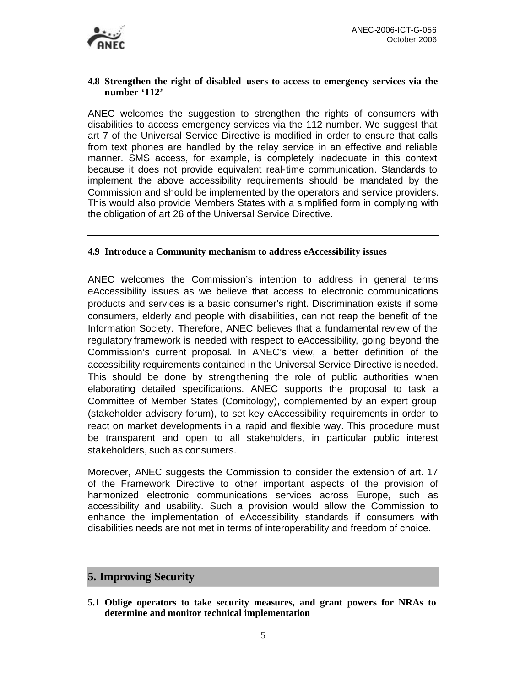

#### **4.8 Strengthen the right of disabled users to access to emergency services via the number '112'**

ANEC welcomes the suggestion to strengthen the rights of consumers with disabilities to access emergency services via the 112 number. We suggest that art 7 of the Universal Service Directive is modified in order to ensure that calls from text phones are handled by the relay service in an effective and reliable manner. SMS access, for example, is completely inadequate in this context because it does not provide equivalent real-time communication. Standards to implement the above accessibility requirements should be mandated by the Commission and should be implemented by the operators and service providers. This would also provide Members States with a simplified form in complying with the obligation of art 26 of the Universal Service Directive.

#### **4.9 Introduce a Community mechanism to address eAccessibility issues**

ANEC welcomes the Commission's intention to address in general terms eAccessibility issues as we believe that access to electronic communications products and services is a basic consumer's right. Discrimination exists if some consumers, elderly and people with disabilities, can not reap the benefit of the Information Society. Therefore, ANEC believes that a fundamental review of the regulatory framework is needed with respect to eAccessibility, going beyond the Commission's current proposal. In ANEC's view, a better definition of the accessibility requirements contained in the Universal Service Directive is needed. This should be done by strengthening the role of public authorities when elaborating detailed specifications. ANEC supports the proposal to task a Committee of Member States (Comitology), complemented by an expert group (stakeholder advisory forum), to set key eAccessibility requirements in order to react on market developments in a rapid and flexible way. This procedure must be transparent and open to all stakeholders, in particular public interest stakeholders, such as consumers.

Moreover, ANEC suggests the Commission to consider the extension of art. 17 of the Framework Directive to other important aspects of the provision of harmonized electronic communications services across Europe, such as accessibility and usability. Such a provision would allow the Commission to enhance the implementation of eAccessibility standards if consumers with disabilities needs are not met in terms of interoperability and freedom of choice.

# **5. Improving Security**

**5.1 Oblige operators to take security measures, and grant powers for NRAs to determine and monitor technical implementation**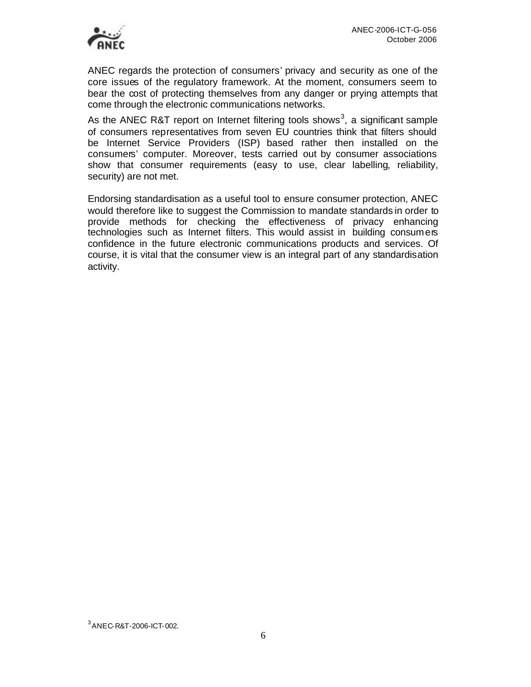

ANEC regards the protection of consumers' privacy and security as one of the core issues of the regulatory framework. At the moment, consumers seem to bear the cost of protecting themselves from any danger or prying attempts that come through the electronic communications networks.

As the ANEC R&T report on Internet filtering tools shows<sup>3</sup>, a significant sample of consumers representatives from seven EU countries think that filters should be Internet Service Providers (ISP) based rather then installed on the consumers' computer. Moreover, tests carried out by consumer associations show that consumer requirements (easy to use, clear labelling, reliability, security) are not met.

Endorsing standardisation as a useful tool to ensure consumer protection, ANEC would therefore like to suggest the Commission to mandate standards in order to provide methods for checking the effectiveness of privacy enhancing technologies such as Internet filters. This would assist in building consumers confidence in the future electronic communications products and services. Of course, it is vital that the consumer view is an integral part of any standardisation activity.

 $3$  ANEC-R&T-2006-ICT-002.